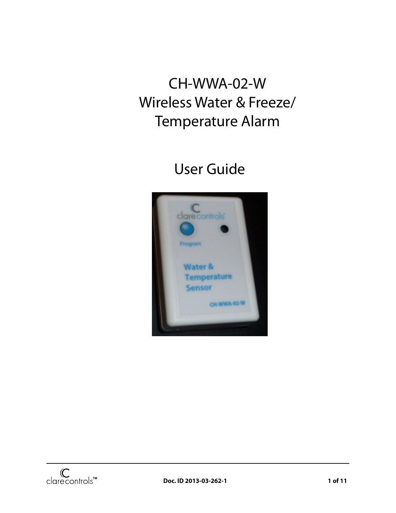# CH-WWA-02-W Wireless Water & Freeze/ Temperature Alarm

# User Guide

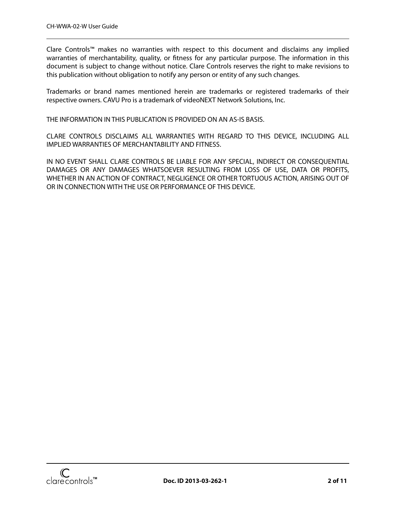Clare Controls™ makes no warranties with respect to this document and disclaims any implied warranties of merchantability, quality, or fitness for any particular purpose. The information in this document is subject to change without notice. Clare Controls reserves the right to make revisions to this publication without obligation to notify any person or entity of any such changes.

Trademarks or brand names mentioned herein are trademarks or registered trademarks of their respective owners. CAVU Pro is a trademark of videoNEXT Network Solutions, Inc.

THE INFORMATION IN THIS PUBLICATION IS PROVIDED ON AN AS-IS BASIS.

CLARE CONTROLS DISCLAIMS ALL WARRANTIES WITH REGARD TO THIS DEVICE, INCLUDING ALL IMPLIED WARRANTIES OF MERCHANTABILITY AND FITNESS.

IN NO EVENT SHALL CLARE CONTROLS BE LIABLE FOR ANY SPECIAL, INDIRECT OR CONSEQUENTIAL DAMAGES OR ANY DAMAGES WHATSOEVER RESULTING FROM LOSS OF USE, DATA OR PROFITS, WHETHER IN AN ACTION OF CONTRACT, NEGLIGENCE OR OTHER TORTUOUS ACTION, ARISING OUT OF OR IN CONNECTION WITH THE USE OR PERFORMANCE OF THIS DEVICE.

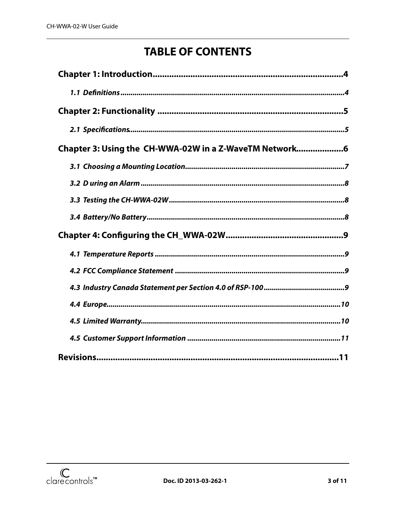## **TABLE OF CONTENTS**

| Chapter 3: Using the CH-WWA-02W in a Z-WaveTM Network6 |
|--------------------------------------------------------|
|                                                        |
|                                                        |
|                                                        |
|                                                        |
|                                                        |
|                                                        |
|                                                        |
|                                                        |
|                                                        |
|                                                        |
|                                                        |
|                                                        |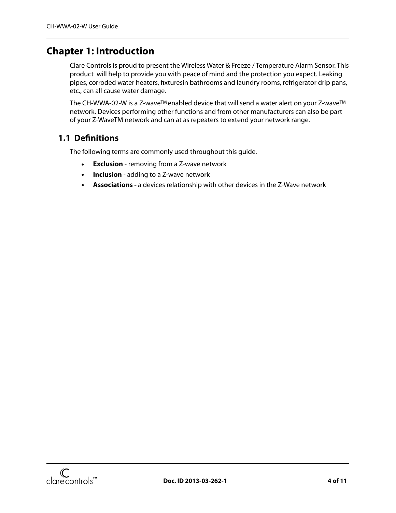### <span id="page-3-0"></span>**Chapter 1: Introduction**

Clare Controls is proud to present the Wireless Water & Freeze / Temperature Alarm Sensor. This product will help to provide you with peace of mind and the protection you expect. Leaking pipes, corroded water heaters, fixturesin bathrooms and laundry rooms, refrigerator drip pans, etc., can all cause water damage.

The CH-WWA-02-W is a Z-wave<sup>™</sup> enabled device that will send a water alert on your Z-wave<sup>™</sup> network. Devices performing other functions and from other manufacturers can also be part of your Z-WaveTM network and can at as repeaters to extend your network range.

#### <span id="page-3-1"></span>**1.1 De!nitions**

The following terms are commonly used throughout this guide.

- **• Exclusion** removing from a Z-wave network
- **• Inclusion** adding to a Z-wave network
- **• Associations** a devices relationship with other devices in the Z-Wave network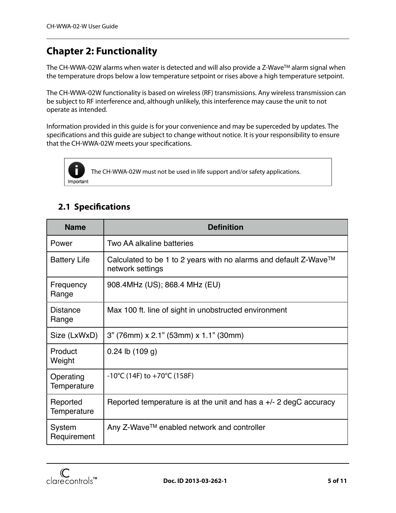## <span id="page-4-0"></span>**Chapter 2: Functionality**

The CH-WWA-02W alarms when water is detected and will also provide a Z-Wave™ alarm signal when the temperature drops below a low temperature setpoint or rises above a high temperature setpoint.

The CH-WWA-02W functionality is based on wireless (RF) transmissions. Any wireless transmission can be subject to RF interference and, although unlikely, this interference may cause the unit to not operate as intended.

Information provided in this guide is for your convenience and may be superceded by updates. The specifications and this guide are subject to change without notice. It is your responsibility to ensure that the CH-WWA-02W meets your specifications.



The CH-WWA-02W must not be used in life support and/or safety applications.

## <span id="page-4-1"></span>**2.1 Speci!cations**

| <b>Name</b>              | <b>Definition</b>                                                                    |  |  |
|--------------------------|--------------------------------------------------------------------------------------|--|--|
| Power                    | Two AA alkaline batteries                                                            |  |  |
| <b>Battery Life</b>      | Calculated to be 1 to 2 years with no alarms and default Z-Wave™<br>network settings |  |  |
| Frequency<br>Range       | 908.4MHz (US); 868.4 MHz (EU)                                                        |  |  |
| Distance<br>Range        | Max 100 ft. line of sight in unobstructed environment                                |  |  |
| Size (LxWxD)             | 3" (76mm) x 2.1" (53mm) x 1.1" (30mm)                                                |  |  |
| Product<br>Weight        | $0.24$ lb $(109q)$                                                                   |  |  |
| Operating<br>Temperature | $-10^{\circ}$ C (14F) to $+70^{\circ}$ C (158F)                                      |  |  |
| Reported<br>Temperature  | Reported temperature is at the unit and has a $+/- 2$ degC accuracy                  |  |  |
| System<br>Requirement    | Any Z-Wave™ enabled network and controller                                           |  |  |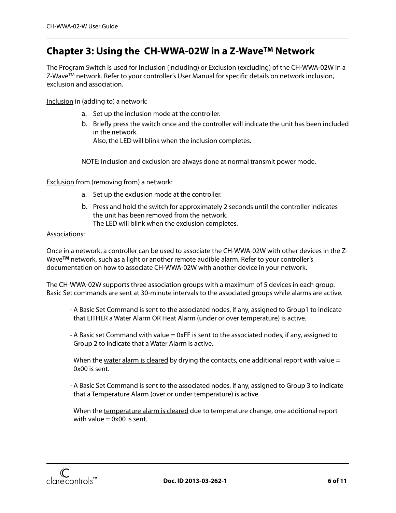## <span id="page-5-0"></span>**Chapter 3: Using the CH-WWA-02W in a Z-WaveTM Network**

The Program Switch is used for Inclusion (including) or Exclusion (excluding) of the CH-WWA-02W in a Z-Wave<sup>TM</sup> network. Refer to your controller's User Manual for specific details on network inclusion, exclusion and association.

Inclusion in (adding to) a network:

- a. Set up the inclusion mode at the controller.
- b. Briefly press the switch once and the controller will indicate the unit has been included in the network.

Also, the LED will blink when the inclusion completes.

NOTE: Inclusion and exclusion are always done at normal transmit power mode.

Exclusion from (removing from) a network:

- a. Set up the exclusion mode at the controller.
- b. Press and hold the switch for approximately 2 seconds until the controller indicates the unit has been removed from the network. The LED will blink when the exclusion completes.

#### Associations:

Once in a network, a controller can be used to associate the CH-WWA-02W with other devices in the Z-Wave**TM** network, such as a light or another remote audible alarm. Refer to your controller's documentation on how to associate CH-WWA-02W with another device in your network.

The CH-WWA-02W supports three association groups with a maximum of 5 devices in each group. Basic Set commands are sent at 30-minute intervals to the associated groups while alarms are active.

- A Basic Set Command is sent to the associated nodes, if any, assigned to Group1 to indicate that EITHER a Water Alarm OR Heat Alarm (under or over temperature) is active.
- A Basic set Command with value = 0xFF is sent to the associated nodes, if any, assigned to Group 2 to indicate that a Water Alarm is active.

When the water alarm is cleared by drying the contacts, one additional report with value  $=$ 0x00 is sent.

- A Basic Set Command is sent to the associated nodes, if any, assigned to Group 3 to indicate that a Temperature Alarm (over or under temperature) is active.

When the temperature alarm is cleared due to temperature change, one additional report with value  $= 0x00$  is sent.

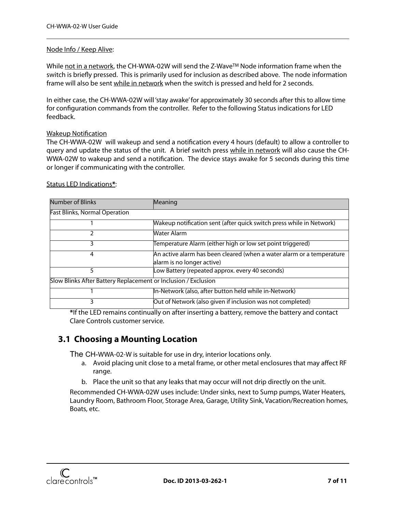#### Node Info / Keep Alive:

While not in a network, the CH-WWA-02W will send the Z-Wave<sup>TM</sup> Node information frame when the switch is briefly pressed. This is primarily used for inclusion as described above. The node information frame will also be sent while in network when the switch is pressed and held for 2 seconds.

In either case, the CH-WWA-02W will 'stay awake' for approximately 30 seconds after this to allow time for configuration commands from the controller. Refer to the following Status indications for LED feedback.

#### **Wakeup Notification**

The CH-WWA-02W will wakeup and send a notification every 4 hours (default) to allow a controller to query and update the status of the unit. A brief switch press while in network will also cause the CH-WWA-02W to wakeup and send a notification. The device stays awake for 5 seconds during this time or longer if communicating with the controller.

| Number of Blinks                                               | Meaning                                                               |  |  |
|----------------------------------------------------------------|-----------------------------------------------------------------------|--|--|
| <b>Fast Blinks, Normal Operation</b>                           |                                                                       |  |  |
|                                                                | Wakeup notification sent (after quick switch press while in Network)  |  |  |
|                                                                | Water Alarm                                                           |  |  |
| 3                                                              | Temperature Alarm (either high or low set point triggered)            |  |  |
| 4                                                              | An active alarm has been cleared (when a water alarm or a temperature |  |  |
|                                                                | alarm is no longer active)                                            |  |  |
| 5                                                              | Low Battery (repeated approx. every 40 seconds)                       |  |  |
| Slow Blinks After Battery Replacement or Inclusion / Exclusion |                                                                       |  |  |
|                                                                | In-Network (also, after button held while in-Network)                 |  |  |
| 3                                                              | Out of Network (also given if inclusion was not completed)            |  |  |

#### Status LED Indications**\***:

**\***If the LED remains continually on after inserting a battery, remove the battery and contact Clare Controls customer service.

#### <span id="page-6-0"></span>**3.1 Choosing a Mounting Location**

The CH-WWA-02-W is suitable for use in dry, interior locations only.

- a. Avoid placing unit close to a metal frame, or other metal enclosures that may affect RF range.
- b. Place the unit so that any leaks that may occur will not drip directly on the unit.

Recommended CH-WWA-02W uses include: Under sinks, next to Sump pumps, Water Heaters, Laundry Room, Bathroom Floor, Storage Area, Garage, Utility Sink, Vacation/Recreation homes, Boats, etc.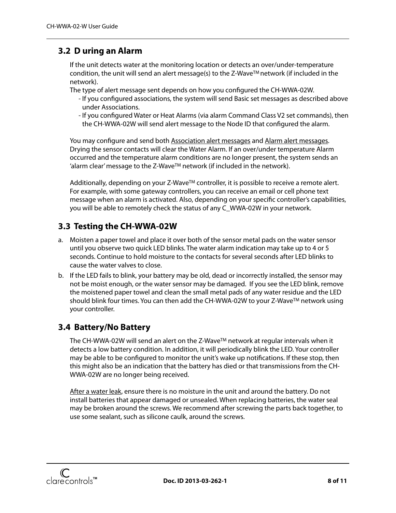#### <span id="page-7-0"></span>**3.2 D uring an Alarm**

If the unit detects water at the monitoring location or detects an over/under-temperature condition, the unit will send an alert message(s) to the Z-Wave<sup>TM</sup> network (if included in the network).

The type of alert message sent depends on how you configured the CH-WWA-02W.

- If you configured associations, the system will send Basic set messages as described above under Associations.
- If you configured Water or Heat Alarms (via alarm Command Class V2 set commands), then the CH-WWA-02W will send alert message to the Node ID that configured the alarm.

You may configure and send both Association alert messages and Alarm alert messages. Drying the sensor contacts will clear the Water Alarm. If an over/under temperature Alarm occurred and the temperature alarm conditions are no longer present, the system sends an 'alarm clear' message to the Z-Wave<sup>TM</sup> network (if included in the network).

Additionally, depending on your  $Z$ -Wave<sup>TM</sup> controller, it is possible to receive a remote alert. For example, with some gateway controllers, you can receive an email or cell phone text message when an alarm is activated. Also, depending on your specific controller's capabilities, you will be able to remotely check the status of any C\_WWA-02W in your network.

#### <span id="page-7-1"></span>**3.3 Testing the CH-WWA-02W**

- a. Moisten a paper towel and place it over both of the sensor metal pads on the water sensor until you observe two quick LED blinks. The water alarm indication may take up to 4 or 5 seconds. Continue to hold moisture to the contacts for several seconds after LED blinks to cause the water valves to close.
- b. If the LED fails to blink, your battery may be old, dead or incorrectly installed, the sensor may not be moist enough, or the water sensor may be damaged. If you see the LED blink, remove the moistened paper towel and clean the small metal pads of any water residue and the LED should blink four times. You can then add the CH-WWA-02W to your Z-WaveTM network using your controller.

#### <span id="page-7-2"></span>**3.4 Battery/No Battery**

The CH-WWA-02W will send an alert on the Z-Wave<sup>TM</sup> network at regular intervals when it detects a low battery condition. In addition, it will periodically blink the LED. Your controller may be able to be configured to monitor the unit's wake up notifications. If these stop, then this might also be an indication that the battery has died or that transmissions from the CH-WWA-02W are no longer being received.

After a water leak, ensure there is no moisture in the unit and around the battery. Do not install batteries that appear damaged or unsealed. When replacing batteries, the water seal may be broken around the screws. We recommend after screwing the parts back together, to use some sealant, such as silicone caulk, around the screws.

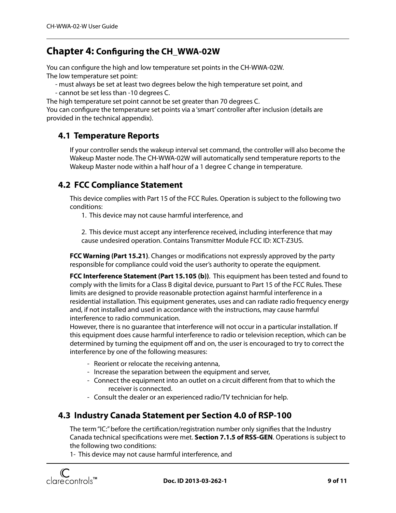### <span id="page-8-0"></span>**Chapter 4: Con!guring the CH\_WWA-02W**

You can configure the high and low temperature set points in the CH-WWA-02W. The low temperature set point:

- must always be set at least two degrees below the high temperature set point, and

- cannot be set less than -10 degrees C.

The high temperature set point cannot be set greater than 70 degrees C.

You can configure the temperature set points via a 'smart' controller after inclusion (details are provided in the technical appendix).

#### <span id="page-8-1"></span>**4.1 Temperature Reports**

If your controller sends the wakeup interval set command, the controller will also become the Wakeup Master node. The CH-WWA-02W will automatically send temperature reports to the Wakeup Master node within a half hour of a 1 degree C change in temperature.

#### <span id="page-8-2"></span>**4.2 FCC Compliance Statement**

This device complies with Part 15 of the FCC Rules. Operation is subject to the following two conditions:

1. This device may not cause harmful interference, and

2. This device must accept any interference received, including interference that may cause undesired operation. Contains Transmitter Module FCC ID: XCT-Z3US.

**FCC Warning (Part 15.21)**. Changes or modifications not expressly approved by the party responsible for compliance could void the user's authority to operate the equipment.

**FCC Interference Statement (Part 15.105 (b))**. This equipment has been tested and found to comply with the limits for a Class B digital device, pursuant to Part 15 of the FCC Rules. These limits are designed to provide reasonable protection against harmful interference in a residential installation. This equipment generates, uses and can radiate radio frequency energy and, if not installed and used in accordance with the instructions, may cause harmful interference to radio communication.

However, there is no guarantee that interference will not occur in a particular installation. If this equipment does cause harmful interference to radio or television reception, which can be determined by turning the equipment off and on, the user is encouraged to try to correct the interference by one of the following measures:

- Reorient or relocate the receiving antenna,
- Increase the separation between the equipment and server,
- Connect the equipment into an outlet on a circuit different from that to which the receiver is connected.
- Consult the dealer or an experienced radio/TV technician for help.

#### <span id="page-8-3"></span>**4.3 Industry Canada Statement per Section 4.0 of RSP-100**

The term "IC:" before the certification/registration number only signifies that the Industry Canada technical specifications were met. **Section 7.1.5 of RSS-GEN**. Operations is subject to the following two conditions:

1- This device may not cause harmful interference, and

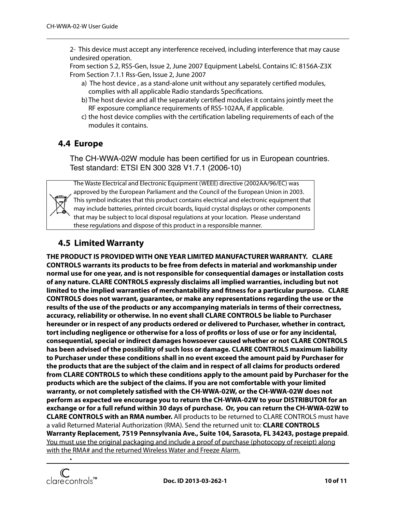2- This device must accept any interference received, including interference that may cause undesired operation.

 From section 5.2, RSS-Gen, Issue 2, June 2007 Equipment LabelsL Contains IC: 8156A-Z3X From Section 7.1.1 Rss-Gen, Issue 2, June 2007

- a) The host device, as a stand-alone unit without any separately certified modules, complies with all applicable Radio standards Specifications.
- b) The host device and all the separately certified modules it contains jointly meet the RF exposure compliance requirements of RSS-102AA, if applicable.
- c) the host device complies with the certification labeling requirements of each of the modules it contains.

#### <span id="page-9-0"></span>**4.4 Europe**

The CH-WWA-02W module has been certified for us in European countries. Test standard: ETSI EN 300 328 V1.7.1 (2006-10)



The Waste Electrical and Electronic Equipment (WEEE) directive (2002AA/96/EC) was approved by the European Parliament and the Council of the European Union in 2003. This symbol indicates that this product contains electrical and electronic equipment that may include batteries, printed circuit boards, liquid crystal displays or other components that may be subject to local disposal regulations at your location. Please understand these regulations and dispose of this product in a responsible manner.

#### <span id="page-9-1"></span>**4.5 Limited Warranty**

**THE PRODUCT IS PROVIDED WITH ONE YEAR LIMITED MANUFACTURER WARRANTY. CLARE CONTROLS warrants its products to be free from defects in material and workmanship under normal use for one year, and is not responsible for consequential damages or installation costs of any nature. CLARE CONTROLS expressly disclaims all implied warranties, including but not limited to the implied warranties of merchantability and !tness for a particular purpose. CLARE CONTROLS does not warrant, guarantee, or make any representations regarding the use or the results of the use of the products or any accompanying materials in terms of their correctness, accuracy, reliability or otherwise. In no event shall CLARE CONTROLS be liable to Purchaser hereunder or in respect of any products ordered or delivered to Purchaser, whether in contract, tort including negligence or otherwise for a loss of pro!ts or loss of use or for any incidental, consequential, special or indirect damages howsoever caused whether or not CLARE CONTROLS has been advised of the possibility of such loss or damage. CLARE CONTROLS maximum liability to Purchaser under these conditions shall in no event exceed the amount paid by Purchaser for the products that are the subject of the claim and in respect of all claims for products ordered from CLARE CONTROLS to which these conditions apply to the amount paid by Purchaser for the products which are the subject of the claims. If you are not comfortable with your limited warranty, or not completely satis!ed with the CH-WWA-02W, or the CH-WWA-02W does not perform as expected we encourage you to return the CH-WWA-02W to your DISTRIBUTOR for an exchange or for a full refund within 30 days of purchase. Or, you can return the CH-WWA-02W to CLARE CONTROLS with an RMA number.** All products to be returned to CLARE CONTROLS must have a valid Returned Material Authorization (RMA). Send the returned unit to: **CLARE CONTROLS Warranty Replacement, 7519 Pennsylvania Ave., Suite 104, Sarasota, FL 34243, postage prepaid**. You must use the original packaging and include a proof of purchase (photocopy of receipt) along with the RMA# and the returned Wireless Water and Freeze Alarm.



•